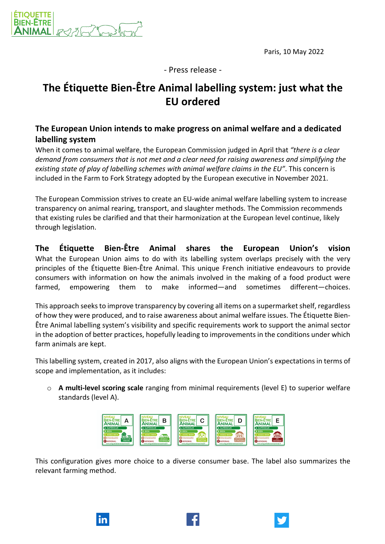Paris, 10 May 2022



- Press release -

## **The Étiquette Bien-Être Animal labelling system: just what the EU ordered**

## **The European Union intends to make progress on animal welfare and a dedicated labelling system**

When it comes to animal welfare, the European Commission judged in April that *"there is a clear demand from consumers that is not met and a clear need for raising awareness and simplifying the existing state of play of labelling schemes with animal welfare claims in the EU"*. This concern is included in the Farm to Fork Strategy adopted by the European executive in November 2021.

The European Commission strives to create an EU-wide animal welfare labelling system to increase transparency on animal rearing, transport, and slaughter methods. The Commission recommends that existing rules be clarified and that their harmonization at the European level continue, likely through legislation.

**The Étiquette Bien-Être Animal shares the European Union's vision** What the European Union aims to do with its labelling system overlaps precisely with the very principles of the Étiquette Bien-Être Animal. This unique French initiative endeavours to provide consumers with information on how the animals involved in the making of a food product were farmed, empowering them to make informed—and sometimes different—choices.

This approach seeks to improve transparency by covering all items on a supermarket shelf, regardless of how they were produced, and to raise awareness about animal welfare issues. The Étiquette Bien-Être Animal labelling system's visibility and specific requirements work to support the animal sector in the adoption of better practices, hopefully leading to improvements in the conditions under which farm animals are kept.

This labelling system, created in 2017, also aligns with the European Union's expectations in terms of scope and implementation, as it includes:

o **A multi-level scoring scale** ranging from minimal requirements (level E) to superior welfare standards (level A).



This configuration gives more choice to a diverse consumer base. The label also summarizes the relevant farming method.

lin